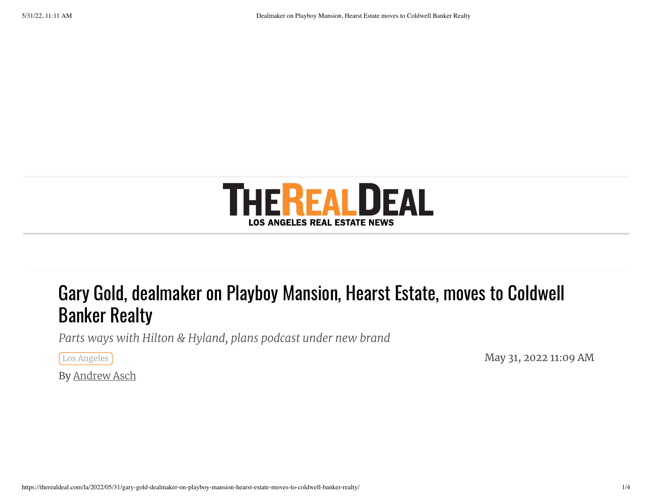

## Gary Gold, dealmaker on Playboy Mansion, Hearst Estate, moves to Coldwell Banker Realty

*Parts ways with Hilton & Hyland, plans podcast under new brand*

 $\sim$  May 31, 2022 11:09 AM  $_\mathrm{mag}$ 

By [Andrew](https://therealdeal.com/la/author/andrew-asch/) Asch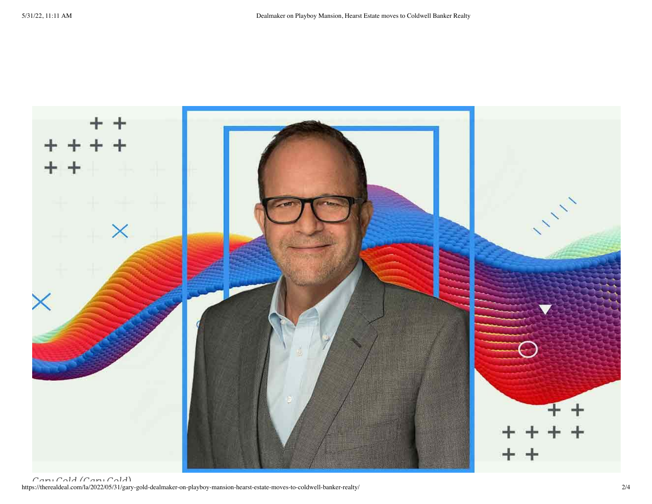

https://therealdeal.com/la/2022/05/31/gary-gold-dealmaker-on-playboy-mansion-hearst-estate-moves-to-coldwell-banker-realty/ 2/4 *Gary Gold (Gary Gold)*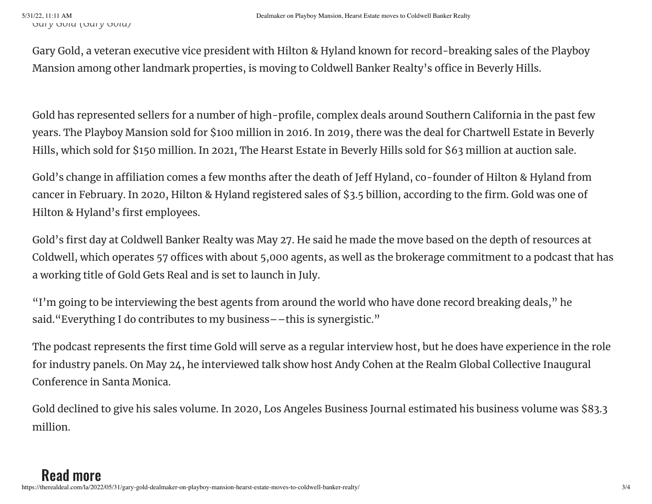Gary Gold, a veteran executive vice president with Hilton & Hyland known for record-breaking sales of the Playboy Mansion among other landmark properties, is moving to Coldwell Banker Realty's office in Beverly Hills.

Gold has represented sellers for a number of high-profile, complex deals around Southern California in the past few years. The Playboy Mansion sold for \$100 million in 2016. In 2019, there was the deal for Chartwell Estate in Beverly Hills, which sold for \$150 million. In 2021, The Hearst Estate in Beverly Hills sold for \$63 million at auction sale.

Gold's change in affiliation comes a few months after the death of Jeff Hyland, co-founder of Hilton & Hyland from cancer in February. In 2020, Hilton & Hyland registered sales of \$3.5 billion, according to the firm. Gold was one of Hilton & Hyland's first employees.

Gold's first day at Coldwell Banker Realty was May 27. He said he made the move based on the depth of resources at Coldwell, which operates 57 offices with about 5,000 agents, as well as the brokerage commitment to a podcast that has a working title of Gold Gets Real and is set to launch in July.

"I'm going to be interviewing the best agents from around the world who have done record breaking deals, " he said."Everything I do contributes to my business––this is synergistic."

The podcast represents the first time Gold will serve as a regular interview host, but he does have experience in the role for industry panels. On May 24, he interviewed talk show host Andy Cohen at the Realm Global Collective Inaugural Conference in Santa Monica.

Gold declined to give his sales volume. In 2020, Los Angeles Business Journal estimated his business volume was \$83.3 million.